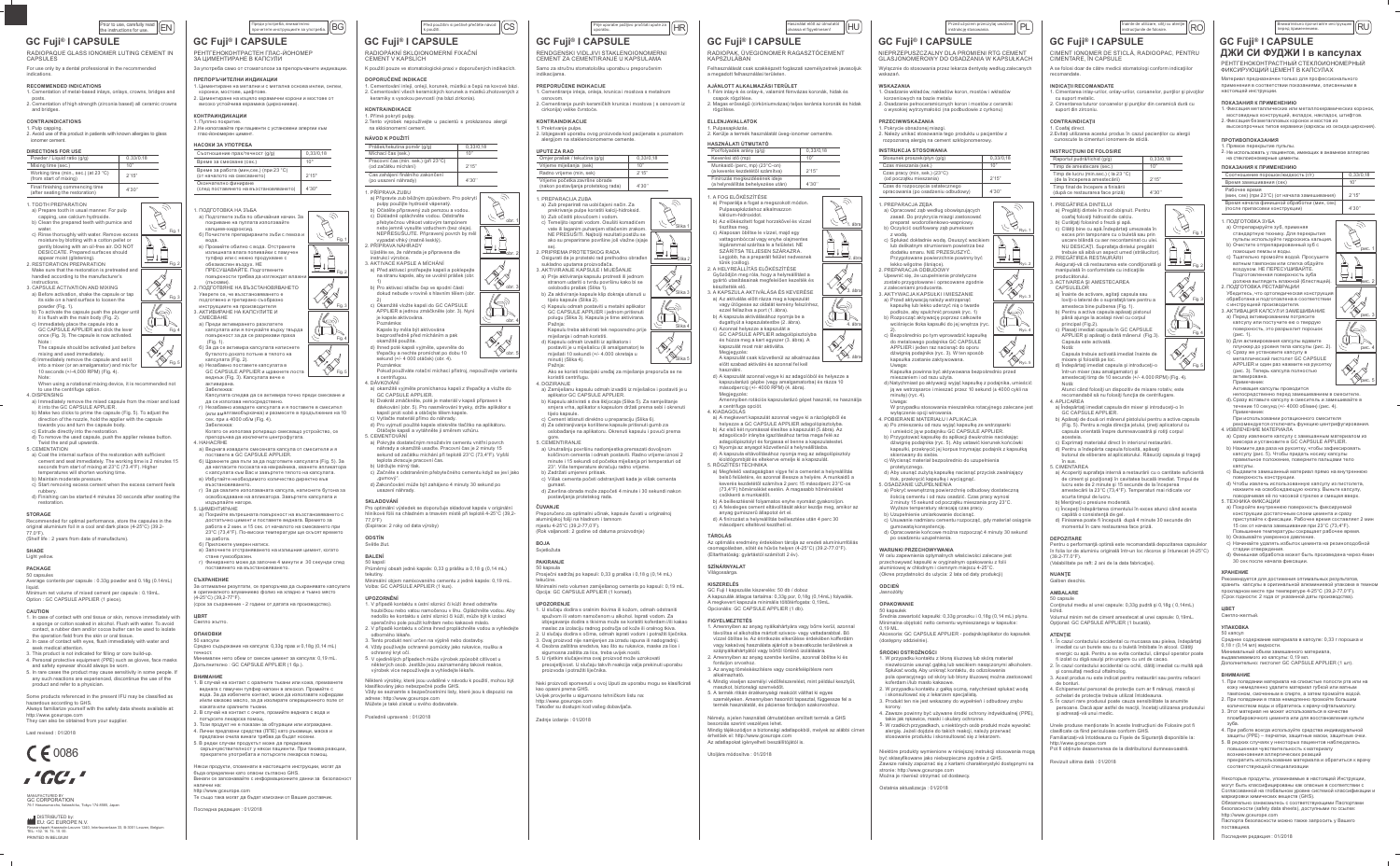# $\boxed{\frac{\text{Prior to use, carefully read}}{\text{the instructions for use.}} \quad \boxed{\text{EN}}}$

# **GC Fuji® I CAPSULE**

RADIOPAQUE GLASS IONOMER LUTING CEMENT IN CAPSULES

# For use only by a dental professional in the recommended

**RECOMMENDED INDICATIONS** 

- sed inlays, onlays, crowns, bridges and 2. Cementation of high strength (zirconia based) all ceramic crown
- and bridges.

# **CONTRAINDICATIONS**

1. Pulp capping.<br>2. Avoid use of this product in patients with known allergies to glass

# DIRECTIONS FOR

| <b>DIRECTIONS FOR USE</b>                                                                                                                                     |           |  |
|---------------------------------------------------------------------------------------------------------------------------------------------------------------|-----------|--|
| Powder / Liquid ratio (g/g)                                                                                                                                   | 0.33/0.18 |  |
| Mixing time (sec.)                                                                                                                                            | 10"       |  |
| Working time (min., sec.) (at 23 °C)<br>(from start of mixing)                                                                                                | 2'15"     |  |
| Final finishing commencing time<br>(after seating the restoration)                                                                                            | 4'30"     |  |
| 1. TOOTH PREPARATION<br>a) Prepare tooth in usual manner. For pulp<br>capping, use calcium hydroxide.<br>b) Clean the prepared teeth with pumice and<br>water |           |  |

- c) Rinse thoroughly with water. Remove exce moisture by blotting with a cotton pellet or
- divided by biology with a collor pellet of<br>gently blowing with an oil-free air. DO NOT<br>DESICCATE. Prepared surfaces should appear moist (glistening).<br>2. RESTORATION PREPARATION Make sure that the restoration is pretreated an<br>handled according to the manufacturer's
- instructions 3. CAPSULE ACTIVATION AND MIXING
- a) Before activation, shake the capsule or tap<br>its side on a hard surface to loosen the
- Its state of a ratio surface to rooson the<br>powder (Fig. 1).<br>To activate the capsule push the plunger un<br>it is flush with the main body (Fig. 2). c) Immediately place the capsule into a GC CAPSULE APPLIER and click the lever
- once (Fig. 3). The capsule is now activated  $\overrightarrow{v}$ The capsule should be activated iust before
- mic capsue sinou due activated just before mixing and used immediately.<br>
d) Immediately remove the capsule and set it<br>
into a mixer (or an amalgamator) and mix for<br>
10 seconds (+/-4,000 RPM) (Fig. 4).
- 
- When using a rotational mixing device, it is recommended not to use the centrifuge option. 4 DISPENSING

- Distribution<br>a) Immediately remove the mixed capsule from the mixer and load<br>it into the GC CAPSULE APPLIER.<br>b) Make two clicks to prime the capsule (Fig. 5). To adjust the<br>direction of the nozzle, hold the applier with th
- towards you and turn the capsule body. c) Extrude directly into the restoration
- d) To remove the used capsule, push the applier release button Twist the and pull upwards.
- 
- bust the and pull upwards.<br>
5. CEMENTATION<br>
a) Coat the internal surface of the restoration with sufficient<br>
cement and seat immediately. The working time is 2 minutes 15<br>
seconds from start of mixing at 23°C (73.4°F). Hig emperatures will shorten working time.
- b) Maintain moderate pressure.
- c) Maintain moderate pressure.<br>c) Start removing excess cement when the excess cement feels rubbery.<br>d) Finishing can be started 4 minutes 30 seconds after seating the

# **STORAGE**

- Recommended for optimal performance, store the capsules in the original aluminium foil in a cool and dark place (4-25°C) (39.2-<br>77.0°F).
- (Shelf life · 2 years from date of manufacture)

# SHADE

# Light yellow.

**PACKAGE** 

 $\frac{1}{2}$  nts per capsule : 0.33g powder and 0.18g (0.14mL) нquid.<br>Minimum net volume of mixed cement per capsule : 0.19mL.<br>Option : GC CAPSULE APPLIER (1 piece).

## **CAUTION**

- 1. In case of contact with oral tissue or skin, remove immediately with<br>a sponge or cotton soaked in alcohol. Flush with water. To avoid<br>contact, a rubber dam and/or cocoa butter can be used to isolate<br>the operation field
- seek medical attention. seek medical attention.<br>3 This product is not indicated for filling or core build-up
- This product is not intitiated for filling or core bulld-up.<br>Dersonal protective equipment (PPE) such as gloves, face masks<br>and safety eyewear should always be worn.
- 5. In rare cases the product may cause sensitivity in some people. If any such reactions are experienced, discontinue the use of the<br>product and refer to a physician.

Some products referenced in the present IFU may be classified as hazardous according to GHS.<br>Always familiarize yourself with the safety data sheets available at:

http://www.gceurope.com They can also be obtained from your supplier

Last revised: 01/2018



**GC CORPORATION** Tokyo 174-8585. Japan

**MEDIARC FUROPE N.V.** .<br>wenlaan 33, B-3001 Leuven, Belgiun researcripark паазгоок<br>TEL: +32. 16. 74. 10. 00 PRINTED IN BELGIUM

 $\boxed{\frac{100}{100}}$ преди употреба, внимателно **GC Fuji® I CAPSULE** 

## РЕНТГЕНОКОНТРАСТЕН ГЛАС-ЙОНОМЕР

.<br>За употреба само от стоматолози за препоръчаните индикации

# .<br>ПРЕПОРЪЧИТЕЛНИ ИНДИКАЦИИ

# 

Пулпно покритие .<br>2.Не използвайте при пациенти с установени алергии към

 $\overline{\mathbb{R}}$ 

 $\begin{picture}(40,40) \put(0,0){\line(1,0){10}} \put(15,0){\line(1,0){10}} \put(15,0){\line(1,0){10}} \put(15,0){\line(1,0){10}} \put(15,0){\line(1,0){10}} \put(15,0){\line(1,0){10}} \put(15,0){\line(1,0){10}} \put(15,0){\line(1,0){10}} \put(15,0){\line(1,0){10}} \put(15,0){\line(1,0){10}} \put(15,0){\line(1,0){10}} \put(15,0){\line(1$ 

 $\bigotimes_{\mathcal{A}}$ 

 $\sqrt{\ }$ 

K

**AND** Fig. 5

| НАСОКИ ЗА УПОТРЕБА                                                     |           |
|------------------------------------------------------------------------|-----------|
| Съотношение прах/течност (g/g)                                         | 0.33/0.18 |
| Време за смесване (сек.)                                               | 10"       |
| Време за работа (мин, сек.) (при 23 °С)<br>(от началото на смесването) | 2'15"     |
| Окончателно финиране                                                   |           |

скончателно финиране<br>(след поставянето на възстановяването) | 4'30"

**DOUCOTORKA HA 31-54** а) Подгответе зъба по обичайния начин. За  $\mathbb{Z}$ покриване на пулпата използвайте калциев-хидроксид. б) Почистете препарираните зъби с пемза и

вода. . . .<br>юмийте обилно с вода. Отстранете

проминге соннос вода.<br>Отсраили с нажно продухване с<br>обезмаслен въздух. НЕ<br>ПРЕСУШАВАЙТЕ. Подготвените повърхности трябва да изглеждат вла:

- , . . .<br>Уверете се, че възстановяването е<br>подготвено и третирано съобразно
- инструкциите на производителя<br>АКТИВИРАНЕ НА КАПСУЛИТЕ И<br>СМЕСВАНЕ
- **SEP** а) Преди активирането разклатете капсулата или я почукайте върху твърда повърхност за да се разрехави праха
- б) За да се активира капсулата натиснете
- $\overline{\text{M}}$ ) за да се акивира мансуната написне<br>Буталото докато потъне в тялото на<br>капсулата (Fig. 2).<br>О Незабавно поставете капсулата в GC CAPSULE APPLIER и щракнете ло веднъж (Fig. 3). Капсулата вече е
- Забележка: калемията следва да се активира точно преди смесване и
- иа.<br>2016 година непосредствено.<br>2016 година и в поставете в смесител<br>2017 година напобъркачка) и размесете в продължение на 10<br>2016 година 1000 об/м (Fig. 4).
- Забележка: когато се използва ротиращо смесващо устройство, се
- препоръчва да изключите центрофугата. **4 HAHACSHE**
- . ниними<br>
а) Веднага извадете смесената капсула от смесителя и я<br>
поставете в GC CAPSULE APPLIER.<br>
б) Щракнете два пъти за да подготвите капсулата (Fig. 5). За<br>
да нагласите посоката на накрайника, хванете апликатора<br>
да
- с капсулата към Вас и завъртете тялото на капсулата.<br>в) Избутайте необходимото количество директно във възстановяването.
- в ъзстановяването.<br>г) За да свалите използваната капсула, натиснете бутона за<br>освобождаване на апликатора. Завъртете капсулата и освооождаване на а<br>издърпайте нагоре.<br>5. ЦИМЕНТИРАНЕ

- а) Покрийте вътрешната повърхност на възстановяването<br>достатъчно цимент и поставете веднага. Времето за<br>работа е 2 мин. и 15 сек. от началото на смесването при .<br>23°С (73.4°F). По-високи температури ше скъсят времето
- аоота.<br>ПОЖАТА УМАЛАН НЯТИСК
- о) приложете умерен натиск.<br>в) Започнете отстраняването на излишния цимент, когато<br>стане гумообразен. г) Финирането може да започне 4 минути и 30 секунди след поставянето на възстан

### **СЪХРАНЕНИЕ**

.<br>За оптимални резултати, се препоръчва да съхранявате капсулит иево фолио на хладно и тъмно място - Sprintfamoto different<br>4-25°C) (39,2-77°F). ,<br>(срок за съхранение - 2 години от датата на произ

ЦВЯТ

# Светло жълто.

- **ОПАКОВКИ**
- 0 капсули се кане*ут...*<br>Средно съдържание на капсула: 0,33g прах и 0,18g (0,14 mL)

Минимален нето обем от смесен цимент за капсула: 0,19 mL.<br>Допълнително : GC CAPSULE APPLIER (1 бр.).

## **ВНИМАНИЕ**

- в случай на контакт с оралните тъкани или кожа, према веднага с памучен тупфер напоен в алкохол. Промийте с<br>вода. За да избегнете контакт, може да използвате кофердам и/или какаово масло, за да изолирате операционното поле от
- ими макаком макли, за да изолирате операционного политикания<br>2. В случай на контакт с очите, промийте веднага с вода и<br>потърсете лекарска помощ.<br>3. Този продукт не е показан за обтурации или изграждане.
- .<br>Вични предпазни средства (ЛПЕ) като ръкавици, маска и
- предпазни очила винаги трябва да бъдат носени. .<br>5. В редки случаи продуктът може да предизвика<br>свръхчувствителност у някои пациенти. При такива реакции,
- 

Някои продукти, споменати в настоящите инструкции, могат да<br>бъда определени като опасни съгласно GHS. алични на:

ttp://www.aceurope.com .<br>Ге също така могат да бъдат изискани от Вашия доставчик.

-<br>Последна редакция : 01/2018

# Před použitím si pečlivě přečtěte návod<br>k použití.

# **GC Fuji® I CAPSULE**

#### RADIOPÁKNÍ SKLOJONOMERNÍ EJXAČNÍ CEMENT V KAPSLÍCH

K použití pouze ve stomatologické praxi v doporučených indikacích.

## DOPORUČENÉ INDIKACE 1. Cementování inlejí, onlejí, korunek, můstků a čepů na kovové bázi.<br>2. Cementování všech keramických korunek a můstků zhotovených z keramiky s vysokou pevností (na bázi zirkonia).

# KONTRAINDIKACE

NÁVOD K POLIŽITÍ

Míchací čas (sek.

(od začátku míchání)

(po usazení náhrady)

. PŘÍPRAVA NÁHRADY

1. PŘÍPRAVA ZUBU

 $\gtrsim$ 

 $\mathbb Z$  )

ਸ਼ਜ਼ੀ

**CERT** 

 $\bigotimes$  Fig. 5

Prášek/tekutina poměr (g/g)

Pracovní čas (min. sek.) (při 23°C)

Čas zahájení finálního zakončení

vypadat vlhký (matně lesklý).

AKTIVACE KAPSLE A MÍCHÁNÍ

Poznámka:<br>Kapsle by měla být aktivována

kamžitě použita.

GC CAPSULE APPLIER.

sekund od zacatku michani pr<br>teplota zkracuje pracovní čas.<br>) Udržujte mírný tlak.

usazení náhrady.

, , , , , ,<br>(Expirace: 2 roky od data výroby)

Volba: GC CAPSULE APPLIER (1 kus).

klasifikovány jako nebezpečné podle GHS.

vzdy se seznamie s bezpechostnim listy,<br>adrese: http://www.gceurope.com<br>Můžete je také získat u svého dodavatele.

Posledně upravené: 01/2018

SKI ADOVÁNÍ

77,0°F)

**ODSTÍN** 

**BALENÍ** 

tekutiny.

UPOZORNĚNÍ

ochranný kryt očí.

Světle žlut

s centrifugou.<br>4. DÁVKOVÁNÍ

bezprostředně před mícháním a pak

d) Ihned poté kapsli vviměte, upevněte do

třepačky a nechte promíchat po dobu 10

repacky a necnie promicnat po dobu 10<br>ekund (+/-4 000 otáček) (obr. 4).<br><sup>}</sup>oznámka:<br><sup>}</sup>okud používáte rotační míchací přístroj, nepoužívejte variantu

a) okamžitě vyjměte promíchanou kapsli z třepačky a vložte do

GU CAPSULE APPLIER.<br>
b) Dvakrát zmáčkněte, poté je materiál v kapsli připraven k<br>
dávkování (obr. 5). Pro nasměrování trysky, držte aplikátor s<br>
kapslí proti sobě a otáčejte tělem kapsle.<br>
c) Vytlačte materiál přímo do náh

a) Pokrvite dostatečným množstvím cementu vnitřní povrch

"gumový".<br>d) Zakončování může být zahájeno 4 minuty 30 sekund po

náhrady a okamžitě usadle. Pracovní čas je 2 minuty 15<br>sekund od začátku míchání při teplotě 23°C (73,4°F). Vyšší

c) Začněte s odstraněním přebytečného cementu když se jeví jako

n⊾nnuovnni<br>Pro optimální výsledek se doporučuje skladovat kapsle v originální<br>liníkové fólii na chladném a tmavém místě při teplotě 4-25°C (39,2-

50 kapslí<br>Průměrný obsah jedné kapsle: 0,33 g prášku a 0,18 g (0,14 mL)

Minimální obiem namixovaného cementu z jedné kapsle: 0.19 mL.

houbičkou nebo vatou namočenou v lihu. Opláchněte vodou. Aby<br>nedošlo ke kontaktu s ústní sliznicí či kůží, může být k izolaci

Seriaumu pouzi komuani nebo kakade masio.<br>2. V případě kontaktu s očima ihned propláchněte vodou a vyhledejte<br>3. Tento produkt není určen na výplně nebo dostavby.

4. Vždy používejte ochranné pomůcky jako rukavice, roušku a

ochranny kryt oci.<br>5. V ojedinělých případech může výrobek způsobit citlivost u

v ojednierych pripadech muze vyrobek zpusobit chlivost u<br>některých osob. Jestliže jsou zaznamenány takové reakce,<br>výrobek více nepoužívejte a vyhledejte lékaře.

.<br>Některé výrobky, které jsou uváděné v návodu k použití, mohou být

Nashikovany jako nebezpečne podle Grio.<br>Vždy se seznamte s bezpečnostními listy, které jsou k dispozici na

.<br>1. V případě kontaktu s ústní sliznicí či kůží ihned odstraňte

operačního pole použit kofrdam nebo kakaové máslo

Ujistěte se, že náhrada je připravena dle

a) Před aktivací protřepejte kapsli a poklepejt<br>na stranu kapsle, aby se uvolnil prášek (ob

b) Pro aktivaci stlačte čep ve spodní části

∠)<br>c) Okamžitě vložte kansli do GC CAPSULE :

Okamzile vložie kapsiruo GC CAP SOLE<br>APPLIER a jednou zmáčkněte (obr. 3). Nyn<br>je kapsle aktivována.

dokud nebude v rovině s hlavním tělem (ob

a) Připravte zub běžným způsobem. Pro pokrytí

nebo jemně vysušte vzduchem (bez oleje).<br>NEPŘESUŠUJTE. Připravený povrch by m

 $\begin{array}{lll} \text{a)} \text{ Priprave zuu veznym zpusoomu.}\; & \text{v.}\; \text{p.}\; \\ \text{p} \text{u} \text{puzijet by použijte hydroxid vápenzou a vodou.} \\ \text{b)} \text{ Očistěte pripravený zub penzou a vodou.} \\ \text{c)} \text{ Dúkladně opláchněte vodou. Odstraňte} \\ \text{pébytečnou vlhkost vadvchem (hez oleia)} \\ \text{m.}\; \text{c} \text{v.}\; & \text{m.}\; \text{v.}\; \text{v.}\; \\ \text{m.}\$ 

1. Přímé pokrytí pulpy.<br>2.Tento výrobek nepoužívejte u pacientů s prokázanou alergií nomerní cement na sklo

 $\boxed{0,33/0,18}$ 

 $10"$ 

 $2'15"$ 

 $4'30''$ 

 $\mathcal{A}$ 

 $A$ 

- 금1日<br>-

 $\mathbb{R}^4$ 

 $\begin{picture}(120,115) \put(0,0){\line(1,0){155}} \put(15,0){\line(1,0){155}} \put(15,0){\line(1,0){155}} \put(15,0){\line(1,0){155}} \put(15,0){\line(1,0){155}} \put(15,0){\line(1,0){155}} \put(15,0){\line(1,0){155}} \put(15,0){\line(1,0){155}} \put(15,0){\line(1,0){155}} \put(15,0){\line(1,0){155}} \put(15,0){\line(1,0){155$ 

 $\mathcal{O}_{\text{obr.}}$ 

 $\mathbb{Q}^{\mathbb{Z}}$ 

 $\vee \diamond$ 

# Használat előtt az útmutatót<br>olvassa el figyelmesen!

 $\sum_{i=1}^{n}$ 

 $H \overleftrightarrow{H}$ 

 $\sqrt{\frac{1}{2}}$ 

4. áb

# **GC Fuji® I CAPSULE**

# RADIOPAK, ÜVEGIONOMER RAGASZTÓCEMENT<br>KAPSZULÁBAN

Felhasználását csak szakképzett fogászati személyzetnek javasoljuk a megadott felhasználási területen

#### AJÁNLOTT ALKALMAZÁSI TERÜLET nint fémvázas koronák, hidak és

i , i ein may≁s es omay⊷, valammi lennvazas koronak, muak es<br>Losapok rögzítése.<br>2. Magas erősségű (cirkóniumvázas) teljes kerámia koronák és hidak

## **ELLENJAVALLATOK**

1. KIADAGOLÁS

**ZÁROLÁS** 

SZÍNÁRNYALAT

**KISZERELÉS** 

Prije uporabe pažljivo pročitati upute za<br>uporabu.

0,33/0,18

 $\frac{10^{6}}{200}$ 

 $4'30''$ 

 $\bigtriangledown$ 

百倍

 $\sqrt{\mathbf{v}}$ 

A

 $\sqrt{2}$ 

 $\bigotimes$ Slika 5

 $2'15"$ 

**GC Fuji<sup>®</sup> I CAPSULE** 

PREPORUČENE INDIKACIJE

Omjer prašak / tekućina (g/g)

Vrijeme početka završne obrade<br>(nakon postavljanja protetskog rada)

PRIPREMA PROTETSKOG RADA

slobodio prašak (Slika 1).

ielo kapsule (Slika 2).

miješanja i odmah koristiti.

iuti) (Slika 4).

koristiti centrifugu.

Pažnia:

DOZIRANJE

5 CEMENTIRAN.IF

ČUVANJE

**BOJA** 

– ∽⊷<br>Svietložuta

**PAKIRANJE** 

50 kapsula

**UPOZORENJE** 

tekućine.

PREPARACIJA ZOBA<br>
a) Zub preparirali na uobičajeni način. Za<br>
prekrivanje pulpe koristiti kalcij-hidroksid.<br>
b) Zub očistiti plovučcem i vodom.<br>
c) Temeljito isprati vodom. Osušti komadićem

vate ili laganim puhanjem stlačenim zrakom.<br>NE PRESUŠITI. Najbolji rezultati postižu se

ako su preparirane površine još vlažne (sjaje

Osigurati da je protetski rad prethodno obrač

a) Prije aktiviranja kapsulu protresti ili jednon

b) Za aktiviranje kapsule klip dokraja utisnuti u

stranom udariti o tvrdu površinu kako bi se

ujelo kapsule (əlində zər.<br>Kapsulu odmah postaviti u metalni aplikator<br>GC CAPSULE APPLIER i jednom pritisnuti<br>polugu (Slika 3). Kapsula je time aktivirana.

Kapsulu treba aktivirati tek neposredno prije

postaviti je u miješalicu (ili amalgamator) te<br>miješati 10 sekundi (+/- 4.000 okretaja u

Pažnja:<br>Ako se koristi rotacijski uređaj za miješanje preporuča se ne

a) Zamiješanu kapsulu odmah izvaditi iz miješalice i postaviti je u

арикают оо оди бош диминстви.<br>b) Kapsulu aktivirati s dva škljocaja (Slika 5). Za namještanje<br>smjera vrha, aplikator s kapsulom držati prema sebi i okren

d) Za odstranjivanje korištene kapsule pritisnuti gumb za<br>oslobađanje na aplikatoru. Okrenuti kapsulu i povući prema

ochi zameni vlasti premaja površinu nadomjestka premazati dovoljnom<br>količinom cementa i odmah postaviti. Radno vrijeme iznosi 2<br>minute i 15 sekundi od početka miješanja pri temperaturi od

b) Zadržati umjereni pritisak.<br>c) Višak cementa početi odstranjivati kada je višak cementa

guması.<br>d) Završna obrada može započeti 4 minute i 30 sekundi nakon

teno za optimalni učinak, kapsule čuvati u originalnoj

oo kapsula<br>Prosječni sadržaj po kapsuli: 0,33 g praška i 0,18 g (0,14 mL)

Minimalni neto volumen zamiješanog cementa po kapsuli: 0.19 mL.

.<br>1. U slučaju dodira s oralnim tkivima ili kožom, odmah odstranit

spužvom ili vatom namočenom u alkohol. Isprati vodom. Za

maslac za izolaciju radnog područja od kože ili oralnog tkiva

5. U rijetkim slučajevima ovaj proizvod može uzrokovati<br>preosjetljivost. U slučaju takvih reakcija valja prekinuti uporabu

leki proizvodi spomenuti u ovoj Uputi za uporabu mogu se klasificirati

niasiac za izonacnju radinog područja od koze in oranog kiva.<br>2. U slučaju dodira s očima, odmah isprati vodom i potražiti liječnika.<br>3. Ovaj proizvod nije namijenjen za izradu ispuna ili nadogradnji.<br>4. Osobna zaštitna sr

.<br>zbjegavanje dodira s tkivima može se koristiti koferdam i/ili kakac

tijelo kapsule.<br>c) Cement istisnuti direktno u preparaciju (Slika 6).

23°. Više temperature skraćuju radno vrijeme.

postavljanja protetskog rada

(Rok valjanosti: 2 godine od datuma proizvodnje)

Opcija: GC CAPSULE APPLIER (1 komad)

sigurnosna zaštita za lice, treba uvijek nositi.

kao opasni prema Grio.<br>Uvijek provjerite u sigurnosno tehničkom listu na:

http://www.gceurope.com<br>Također su dostupni kod vašeg dobavljača.

precejenji rednice orazaje ramit<br>proizvoda i potražiti liječnika.

kao opasni prema GHS.

Zadnie izdanie: 01/2018

aluminijskoj foliji na hladnom i<br>mjestu 4-25°C (39,2-77,0°F).

wa kuma mwaka wa 1992 - 1993.<br>Wansulu odmah izvaditi izianlikatora i

iningsseine nepsens seinen is sein.<br>Inlikator GC CAPSULF APPLIFR

sukladno uputama proizvođača.<br>. AKTIVIRANJE KAPSULE I MIJEŠANJE

Vrijeme miješanja (sek)

Radno vrijeme (min, sek)

. PREPARACIJA ZUBA

dikacijama.

KONTRAINDIKACIJE

**UPUTE ZA RAD** 

RENDGENSKI VIDL IIVLSTAKI ENOJONOMERNI

CEMENT ZA CEMENTIRANJE U KAPSULAMA

Samo za stručnu stomatološku uporabu u preporučenim

ranje inleja, onleja, krunica i mostova s metalnom

2. Cementiranje punih keramičkih krunica i mostova (s osnovom iz

1. Prekrivanje pulpe.<br>2. Izbjegavati uporabu ovog proizvoda kod pacijenata s poznatom<br>alergijom na staklenoionomerne cemente.

Pulpasapkázás 2. Kerülie a termék használatát üveg-ionomer cementre

| HASZNÁLATI ÚTMUTATÓ                                                 |           |
|---------------------------------------------------------------------|-----------|
| Por/folyadék arány (g/g)                                            | 0,33/0,18 |
| Keverési idő (mp)                                                   | 10"       |
| Munkaidő (perc, mp) (23°C-on)<br>(a keverés kezdetétől számítva)    | 2'15"     |
| Finírozás megkezdésének ideje<br>(a helyreállítás behelyezése után) | 4'30''    |

# . A FOG ELŐKÉSZÍTÉSE

a) Preparálja a fogat a megszokott módon. Pulpasapkázáshoz alkalmazzon kálcium-hidroxidot. handam marokidor.<br>b) Az előkészített fogat horzskővel és vízzel c) <br>
NE choncolated toget not choice of v<br>
tisztítsa meg.<br>
C) Alaposan öblítse le vízzel, majd egy

vattagombóccal vagy enyhe olajment<br>légárammal szárítsa le a felületet. NE<br>SZÁRÍTSA TELJESEN SZÁRAZRA. Legjobb, ha a preparált felület nedvesnek

 $\bigotimes_{\mathcal{B}_{3.4\text{br}}^{\text{obs}}}$ - A HELHEIMEN ELONCORRENT CONSTANTS (System of the distribution of the distribution of the distribution of the distribution of the distribution of the distribution of the distribution of the distribution of the distributio

a) Az aktiválás előtt rázza meg a kapszulát vagy ütögesse az oldalát kemény felszínhez<br>ezzel fellazítva a port (1. ábra).

b) A kapszula aktiválásához nyomia be a

A rapszula akivalazatorz (1901)<br>dugatyju a kapszulateatbe (2. ábra).<br>Azonnal helyezze a kapszulát a<br>GC CAPSULE APPLIER adagolópisztolyb<br>és húzza meg a kart egyszer (3. ábra). A kapszulát most már aktiválta.

 $\overline{\text{M}}$  $\begin{matrix} 1 \\ 1 \\ 2 \end{matrix}$   $\begin{matrix} 1 \\ 2 \\ 5 \end{matrix}$ . ábra Megjegyzés: n.<br>A kapszulát csak közvetlenül az alkalmaz előtt szabad aktiválni és azonnal fel kell

d) A kanszulát azonnal vegye ki az adagolóból és helyezze a Kapszulat azomiai vegye ki az adagolobol és helyezte<br>kapszularázó gépbe (vagy amalgamatorba) és rázza 10<br>másodpercig (+/- 4000 RPM) (4. ábra). Megjegyzés:

megjegyzee.<br>Amennviben rotációs kapszularázó gépet használ, ne használia a centrifuga opciót.

A. NINDANOULAS<br>
a) A megkevert kapszulát azonnal vegye ki a rázógépből és<br>
helyezze a GC CAPSULE APPLIER adagolópisztolyba.<br>
b) Az első két nyomással élesítse a kapszulát (5.ábra). Az<br>
adagolócsőr irányba igazításához tart

c) Nyomja az anyagot közvetlenül a helyreállításba.

d) A kapszula eltávolításához nyomia meg az adagolópisztoly kioldógombját és eltekerve emelje ki a kapszulát.<br>5. RÖGZÍTÉSI TECHNIKA

ROGZLITENTIRIKTA<br>
a) Megfelelő vastagságban vigye fel a cementet a helyreállítás<br>
belső felületére, és azonnal illessze a helyére. A munkaidő a<br>
keverés kezdetétől számítva 2 perc 15 másodperc 23°C-os<br>
(73,4°F) hőmérséklet sökkenti a munkaidőt.

b) A beillesztésnél folvamatos enyhe nyomást gyakorolion c) A felesleges cement eltávolítását akkor kezdje meg, amikor az A holoologos oomont oltavolittasat.<br>anvad qumiszerű állapotot ért el.

anyag gunniszerű anapolot ert el.<br>d) A finírozást a helyreállítás beillesztése után 4 perc 30<br>másodperc elteltével kezdheti el.

Az optimális eredmény érdekében tárolja az eredeti alu agolásban, sötét és hűvös helyen (4-25°C) (39.2-77.0°F). (Eltarthatóság: gyártástól számított 2 év).

GC Fuji I kapszulás kiszerelés: 50 db / doboz A kapszulák átlagos tartalma: 0,33g por, 0,18g (0,14mL) folyadék. A megkevert kapszula minimális töltőtérfogata: 0,19mL.<br>Opcionális: GC CAPSULE APPLIER (1 db).

## **FIGYELMEZTETÉS**

távolítsa el alkoholba mártott szivacs- vagy vattadarabbal. Bő vízzel öblítse le. Az érintkezés elkerülése érdekében kofferdám ragy kakaóvaj használata ajánlott a beavatkozás területének a<br>;zájnyálkahártyától vagy bőrtől történő izolálására. , العديد المستدينة المستدينة المستدينة المستدينة المستدينة.<br>Inyiben az anyag szembe kerülne, azonnal öblítse ki és z. Amennyiben az anyag szembe kerünte, azomiai bbinsk<br>forduljon orvoshoz.<br>3. Az anyag töméskészítésre vagy csonkfelépítésre nem

alkalmazható. aikaimaznato.<br>4. Mindig viseljen személyi védőfelszerelést, mint például kesztyűt, -. minujų viseijeni szenielyi veudielszerelest, mint peldadi kesztydt<br>5. A termék ritkán érzékenységi reakciót válthat ki egyes<br>5. A termék ritkán érzékenységi reakciót válthat ki egyes<br>személyeken. Amennyiben hasonlót tap

Némely, a jelen használati útmutatóban említett termék a GHS szerint veszélves lehet. pesoronas szerint veszerjes renet.<br>Mindig tájékozódjon a biztonsági adatlapokból, melyek az alábbi cí<br>érhetőek el: http://www.gceurope.com<br>Az adatlapokat igényelheti beszállítójától is.

Utoliára módosítva: 01/2018

 $\overline{Przed użyciem przeczytaj uważnie} \left( \overline{PL} \right)$ instrukcję stosowania. **GC Fuji® I CAPSULE** 

 $44$ 

百斤

V (N

(C)

 $\mathscr{D}^{\mathscr{C}}$ 

 $Ryc.5$ 

# NIEPRZEPLISZCZALNY DLA PROMIENI RTG CEMENT

GLASJONOMEROWY DO OSADZANIA W KAPSUŁKACH Wyłącznie do stosowania przez lekarza dentystę według zalecanych wskazań

## **WSKAZANIA**

- . Osadzanie wkładów, nakładów koron, mostów i wkładów - . Usauzarile wikiduwi, rakiatuwi koroni, rindsidwi wikiduwichana korzeniowych na bazie metalu<br>2. Osadzanie pełnoceramicznych koron i mostów z ceramiki<br>6. wysokiej wytrzymałości (na podbudowie z cyrkonu)
- 

#### PRZECIWWSKAZANIA 1. Pokrycie obnażonej miazgi

2. Należy unikać stosowania tego produktu u pacjentów z<br>rozpoznaną alergią na cement szkłojonomerowy.

## **INSTRUKCJA STOSOWANIA**

| Stosunek proszek/płyn (g/g)                                             | 0,33/0,18 |
|-------------------------------------------------------------------------|-----------|
| Czas mieszania (sek.)                                                   | 10"       |
| Czas pracy (min, sek.) (23°C)<br>(od początku mieszania)                | 2'15"     |
| Czas do rozpoczęcia ostatecznego<br>opracowania (po osadzeniu odbudowy) | 4'30''    |

#### 1 PREPARAC.IA ZEBA

- NET ANAOSA 245A<br>) Opracować ząb według obowiązujących<br>zasad. Do przykrycia miazgi zastosować preparat w b) Oczyścić oszlifowany ząb pumeksen z wodą. c) Spłukać dokładnie wodą. Osuszyć wacikie lub delikatnym strumi .<br>niem powietrza bez dodatku smaru. NIE PRZESUSZYĆ.
- Przygotowane powierzchnie powinny być<br>lekko wilgotne (Iśniące).<br>PREPARACJA ODBUDOWY
- Upewnić się, że uzupełnienie protetyczne zostało przygotowane i opracowane zgodnie
- eniami producenta. 2 Zaledoniami producentu:<br>}, AKTYWACJA KAPSUŁKI I MIESZANIE
- All Przed aktywacją należy wstrząsnąć<br>All Przed aktywacją należy wstrząsnąć<br>kapsułkę lub lekko uderzyć nią o tward<br>podłoże, aby spulchnić proszek (ryc. 1)
- podobe, aby spučinile proszek (ryc. 1)<br>
) Rozpocząć aktywację poprzez całkowite<br>
wciśnięcie tłoka kapsułki do jej wnętrza (ryc
- c) Bezpośrednio po tym wprowadzić kapsułk do metalowego podajnika GC CAPSULE do metatowegy podajnika OD APPLIER i jeden raz nacisnąć do oporu<br>dźwignią podajnika (ryc. 3). W ten sposób<br>kapsułka zostanie zaktywowana.
- Kapsułka powinna być aktywowana bezpośrednio przed ieszaniem i od razu użyta.
- d) Natychmiast po aktywacji wyjąć kapsułkę z podajnika, umieścić ia we wstrzasarce i mieszać przez 10 sekund (± 4000 cykli na
- ga.<br>rzypadku stosowania mieszalnika rotacyjnego zalecane je: wyłączenie opcji wirowania.<br>POBIERANIE MATERIAŁU I APLIKACJA
- a) Po zmieszaniu od razu wyjąć kapsułkę ze wstrząsarki i umieścić ją w podajniku GC CAPSULE APPLIER.
- b) Przygotować kapsułke do aplikacji dwukrotnie naciskają by Przyguowac kapsunkę uo apinacji uwuki unie racuskający<br>dźwignię podajnika (ryc. 5). Aby ustawić kierunek końcówki<br>kapsułki, przekręcić jej korpus trzymając podajnik z kapsułką<br>skierowany do siebie.<br>c) Wycisnąć materiał
- protetycznego.<br>d) Aby usunąć zużytą kapsułkę nacisnąć przycisk zwalniający
- tłok, przekręcić kapsułkę i wyciągnąć.<br>5. OSADZANIE UZUPEŁNIENIA
- a) Pokryć wewnetrzna powierzchnie odbudowy dostateczna a) Pokryc wewnętrzną powierzcnnie odbudowy dostateczną<br>
ilością cementu i od razu osadzić. Czas pracy wynosi<br>
2 minuty 15 sekund od początku mieszania przy 23°C.<br>
Wyższe temperatury skracają czas pracy.<br>
b) Uzupełnienie um
- 
- 
- gumowatą konsystencję. d) Opracowanie końcowe można rozpocząć 4 minuty 30 sekund osadzeniu uzunełnienia

#### WARLINKI PRZECHOWYWANIA

WARUNNI PRZECHUWY WANIA<br>
W celu zapewnienia optymalnych właściwości zalecane jest<br>
przechowywać kapsułki w oryginalnym opakowaniu z folii<br>
aluminiowej w chłodnym i ciemnym miejscu 4-25°C.<br>
(Okres przydatności do użycia: 2

**ODCIEŃ** 

#### **OPAKOWANIE**

50 kapsułek se napsalen<br>Średnia zawartość kapsułki: 0.33g proszku i 0.18g (0.14 mL) płynu

#### $0.19$  ML .L.<br>oria: GC CAPSULE APPLIER - podajnik/aplikator do kapsułek

nimalna objętość netto cementu wymieszanego w kapsułce

# ŚRODKI OSTROŻNOŚCI

- .<br>1. W przypadku kontaktu z błoną śluzową lub skórą materiał 1. w przypadku kontaktu z bioną slużową lub skorą materiał<br>niezwłocznie usunąć gałką lub wacikiem nasączonymi alkoholem.<br>Spłukać wodą. Aby uniknąć kontaktu, do odizolowania<br>pola operacyjnego od skóry lub błony śluzowej moż
- i skonsultować się z lekarzem specjalistą. 3. Produkt ten nie jest wskazany do wypełnień i odbudowy zrębu
- 4. Zawsze powinny być używane środki ochrony indywidualnej (PPE),
- takie jak rękawice, maski i okulary ochronne.<br>5. W rzadkich przypadkach, u niektórych osób produkt może wywołać<br>alergię. Jeżeli dojdzie do takich reakcji, należy przerwać
- stosowanie produktu i skonsultować się z lekarzem

Niektóre produkty wymienione w niniejszej instrukcji stosowania moga owowo z poznania niejstania nie miestopa prostawali zastawali i niego skłasyfikowane jako niebezpieczne zgodnie z GHS.<br>Zawsze należy zapoznać się z kartami charakterystyki dostępnymi na stronie: http://www.gceurope.com Można je również otrzymać od dostawcy

Ostatnia aktualizacia : 01/2018

# $\fbox{inainte de utilizare, citiți cu atentje}\n\fbox{R0}$

Внимательно прочитайте инструкцию  $\bigcap_{n \in \mathbb{N}} P$ 

 $0,33/0,18$ 

 $10"$ 

тки (мин, сек)

 $2'15"$ 

 $4'30''$ 

 $\sum_{k=1}^{n}$ 

せん

百斤

 $\sqrt{\sum_{\text{p}u}}$ 

L

 $\overline{\mathcal{P}}$ 

 $\bigotimes_{\text{pnc.}}$ 

 $\overline{\mathbb{R}}$ 

**GC Fuji® I CAPSULE** 

настоящей инструкции.

**ПРОТИВОПОКАЗАНИЯ** 

ПОКАЗАНИЯ К ПРИМЕНЕНИЮ

Время замешивания (сек)

Рабочее время

**. ПОДГОТОВКА ЗУБА** 

Соотношение порошок/жидкость (г,

Время начала финишной обрабо<br>(после припасовки конструкции)

(мин. сек) (при 23°С) (от начала замешивания)

тоди от сольно от он<br>а) Отпрепарируйте зуб, применяя<br>стандартную технику. Для перекрытия<br>пульпы используйте гидроокись кальци

b) Очистите отпрепарированный зуб с

Убедитесь, что ортопедическая конструк<br>обработана и подготовлена в соответств

AKTUBALIUS KANCYN U SAMELIUSAHUE

(рис. 1).<br>)) Для активирования капсулы вдавите

металлический пистолет GC CAP SOL<br>APPLIER и один раз нажмите на руко:<br>(рис. 3). Теперь капсула полностью

Примечание:<br>Активация капсулы проводится

плунжер до уровня тела капсулы (рис. 2)

.<br>|еский пистолет GC CAPSULE

посредственно перед замешиванием в смесителе

d). Сразу вставьте капсулу в смеситель и замешивайте в течение 10 секунд (+/- 4000 об/мин) (рис. 4).

применание.<br>При использовании ротанионного смесителя

а) Сразу извлеките капсулу с замешанным материалом из<br>миксера и установите в GC CAPSULE APPLIER.

ростору от световране оселову лингров.<br>10е положение, поверните пальцами тело

b) Нажмите два раза на рукоятку, чтобы зафиксировать<br>капсулу (рис. 5). Чтобы придать носику капсулы

- как сулы.<br>
с) Выдавите замешанный материал прямо на внутренню:<br>
поверхность конструкции.<br>
побы извлечь использованную капсулу из пистолета,<br>
нажмите на освобождающую кнопку. Выньте капсулу,<br>
нажмите на освобождающую кно

поворачивая её по часовой стрелке и смещая вверх.<br>5. ТЕХНИКА ФИКСАЦИИ

. ГЕХНИКА ФИКСАЦИИ<br>а) Покройте внутреннюю поверхность фиксируемой<br>конструкции достаточным слоем цемента и сразу<br>приступайте к фиксации. Рабочее время составляет 2 мин<br>15 сек от начала замешивания при 23°C (73,4°F).

вышение температуры сокращает рабочее время

.<br>ишная обработка может быть произведена через 4ми

b) Оказывайте умеренное давление.<br>c) Начинайте удалять избыток цемента на резиноподобн

∙∙∙••••–•••••<br>Рекомендуется для достижения оптимальных результатов<br>кранить капсулы в оригинальной алюминиевой упаковке<br>прохладном месте при температуре 4-25°С (39,2-77,0°F).

.<br>Среднее содержание материала в капсуле: 0.33 г порошка и

. При попадании материала на слизистые полости рта или на

мбировочного цемента или для восстановления культь

могут быть классифицированы как опасные в соответствии с<br>Согласованной на глобальном уровне системой классификации и

.<br>Іекоторые продукты, упоминаемые в настоящей Инструкции

http://www.gceurope.com<br>Паспорта безопасности можно также запросить у Вашего

зуоа.<br>. При работе всегда используйте средства индивидуальной<br>защиты (PPE) – перчатки, защитные маски, защитные очки

.<br>Б. В редких случаях у некоторых пациентов наблюдалась

повышенная чувствительность к материалу

возникновения аллергических реакций

ропласованной на плосальной уровне систем<br>иаркировки химических веществ (GHS).<br>Обязательно ознакомьтесь с соответствующи<br>безопасности (safety data sheets), доступным<mark>.</mark>

. при попадании материала на слизистью полости рга<br>кожу немедленно удалите материал губкой или ватным<br>тампоном, смоченным в спирте, а затем промойте водой.<br>При попадании в глаза немедленно промойте большим<br>количеством вод

. Этот материал не может использоваться в качестве

о, го г (о, тч мл) жидкости.<br>Минимальный объем замешанного материала,<br>выдавливаемого из капсулы: 0,19 мл.<br>Дополнительно: пистолет GC CAPSULE APPLIER (1 шт).

Срок годности: 2 года от указанной даты производ

стадии отверждения.

**CPAHEHME** 

.<br>Светло-желтый

реднее седерианне на<br>1 18 г (0 14 мп) жилкости

**УПАКОВКА** 

**ВНИМАНИЕ** 

поставшика

Последняя редакция: 01/2018

0 капсул

**IIBET** 

30 сек после начала фиксации

инструкцией производителя.

с) Сразу же установите капсулу в

активирован<mark>а</mark>.

с) Тшательно промойте водой. Просушите

ватным тампоном или слегка облуйте

помощью пемзы и воды

ПОКАЗАНИЯ К ПРИМЕНЕНИЮ

ДЖИ СИ ФУДЖИ І в капсулах

.<br>применения в соответствии показаниями, описанными в

. Олисация металлических или металлокерамических кор<br>- Фиксация металлических или металлокерамических кор<br>- Миксация безметалловых коронок и мостов из

ти о тиропомалнити<br>1. Прямое перекрытие пульпы.<br>2. Не использовать у пациентов, имеющих в анамнезе аллергик

ФИКСИРУЮЩИЙ ЦЕМЕНТ В КАПСУЛАХ

Материал предназначен только для професси

РЕНТГЕНОКОНТРАСТНЫЙ СТЕКЛОИОНОМЕРНЫЙ

# **GC Fuji® I CAPSULE**

CIMENT IONOMER DE STICLĂ, RADIOOPAC, PENTRU<br>CIMENTARE, ÎN CAPSULE A se folosi doar de către medicii stomatologi conform indicațiilo

#### **INDICATII RECOMANDATE** e inlay-urilor, onlay-urilor, coroanelor, puntilor si pivotilor

- Comentarea inter-unity-unity-unity-unity-unity-unity-unity-unity-unity-unity-unity-unity-unity-unity-unity-unity-u 2. Cimentarea tuturor coroanelor și punților din ceramică dură cu suport din zirconiu.
- CONTRAINDICATIL

### I. Coafaj direct.

2. Evitați utilizarea acestui produs în cazul pacienților cu alergii cunoscute la cimenturi ionomere de sticiă.

#### INSTRUCTIUN DE FOLOSIRE Raportul pudră/lichid (g/g)  $0.33/0.18$ Timp de amestecare (sec.)  $10"$

| $1.111p$ ac table (11.1.1.000.) (id 20 0)<br>(de la începerea amestecării) | 2'15" |  |
|----------------------------------------------------------------------------|-------|--|
| Timp final de începere a finisării<br>(după ce restaurarea face priză)     | 4'30" |  |
| 1. PREGĂTIREA DINTELUI<br>a) Pregătiți dintele în mod obisnuit Pentru      |       |  |

 $\sum_{k=1}^{N}$ 

급수

**CELE** 

(G)

- a) Pregătiți dintere manus sund<br>coafaj folosiți hidroxid de calciu.<br>coafaj folosiți hidroxid de calciu. b) Curățați folosind o freză și apă.<br>c) Clătiți bine cu apă.Îndepărtați umezeala în
- exces prin tamponare cu o buletă sau prin uscare blândă cu aer necontaminat cu ule NU DESICAȚI. Suprafața dintelui pregătit<br>trebuie să aibă un aspect umed (strălucito
- trebuie sa aiba un aspect umed (stralucitor).<br>. PREGĂTIREA RESTAURĂRII<br>Asigurați-vă că restaurarea este condiționată ș
- manipulată în conformitate cu indicațiile<br>producătorului. , ACTIVAREA ȘI AMESTECAREA CAPSULELOR
- CAPSULELOR<br>a) Înainte de activare, agitați capsula sau a) inainie de acuvare, aguaj capsula sau<br>loviji-o lateral de o suprafață tare pentru a<br>amesteca bine pulberea (Fig. 1).<br>b) Pentru a activa capsula apăsați pistonul<br>până ajunge la același nivel cu corpul
- principal (Fig.2).
- principar (1 ig.z.).<br>c) Plasați imediat capsula în GC CAPSULE APPLIER și apăsați o dată mânerul (Fig.3). Cansula este activată
- .......<br>Capsula trebuie activată imediat înainte de

acesteia.

**NUANTE** 

AMBALARE

**ATENTIE** 

de bonturi.

http://www.gceurope.com

Revizuit ultima dată: 01/2018

- $\overline{\text{M}}$ mixare și folosită pe loc.<br>d) Îndepărtați imediat capsula și introduceți-o intr-un mixer (sau amalgamator) și<br>
amestecați timp de 10 secunde (+/- 4.000 RPM) (Fig. 4).<br>
Notă:
- Atunci când folositi un dispozitiv de mixare rotativ, este dabil să nu folosiți funcția de centrifugare
- . APLICAREA .<br><sup>Ii i</sup>mediat capsula din mixer și introduceți-o în a) Indepartag imediat capsul<br>GC CAPSULE APPLIER.

b) Apăsați de două ori mânerul pistolului pentru a activa capsula

(Fig. 5). Pentru a regla direcția jetului, țineți aplicatorul cu<br>capsula orientată înspre dumneavoastră și rotiți corpul

c) Exprimati materialul direct in interiorul restaurarii.<br>d) Pentru a îndepărta capsula folosită, apăsați<br>butonul de eliberare al aplicatorului. Răsuciți capsula și trageți<br>în sus.<br>5. CIMENTAREA

a) Acoperiți suprafața internă a restaurării cu o cantitate suficientă

de ciment și poziționați în cavitatea bucală imediat. Timpul de lucru este de 2 minute și 15 secunde de la începerea

amestecării la 23°C (73,4°F). Temperaturi mai ridicate vor<br>scurta timpul de lucru.

scurta timpul de lucru.<br>b) Mențineți o presiune moderată.<br>c) Începeți îndepărtarea cimentului în exces atunci când acesta

capătă o consistență de gel.<br>d) Finisarea poate fi începută după 4 minute 30 secunde din

Pentru o performanță optimă este recomandată depozitarea capsuleloi<br>în folia lor de aluminiu originală într-un loc răcoros și întunecat (4-25°C<br>(39.2-77.0°F).<br>(Valahilitate no seri∴c

ے صوبہ سے محمد Conținutul mediu al unei capsule: 0,33g pudră și 0,18g ( 0,14mL)<br>Iichid.

Volumul minim net de ciment amestecat al unei cansule: 0.19mL

. În cazul contactului accidental cu mucoasa sau pielea, îndepărtați

energic cu apă. Pentru a se evita contactul, câmpul operator poate

renture de se vena contactual, campu operator poate<br>fizolat cu digă sau/și prin ungere cu unt de cacao.<br>2. În cazul contactului accidental cu ochii, clătiți imediat cu multă apă<br>și consultați medicul oftalmolog.<br>3. Acest p

ue bontan.<br>1. Echipamentul personal de protecție cum ar fi mănuși, mască și

S.<br>În cazuri rare produsul poate cauza sensibilitate la anumite<br>persoane. Dacă apar astfel de reacții, încetați utilizarea produsulu<br>și adresați-vă unui medic.

Unele produse menționate în aceste Instrucțiuni de Folosire pot fi

clasificate ca fiind periculoase conform GHS.<br>Familiarizați-vă întotdeauna cu Fișele de Siguranță disponibile la:

Pot fi obtinute deasemenea de la distribuitorul dumneavoastră

ochelari de protectie trebuje utilizat întotdeauna.

imediat cu un burete sau cu o buletă îmbibate în alcool. Clătiți

momentul în care restaurarea face priză

Optional: GC CAPSULE APPLIER (1 bucată)

c) Exprimati materialul direct în interiorul restaurării